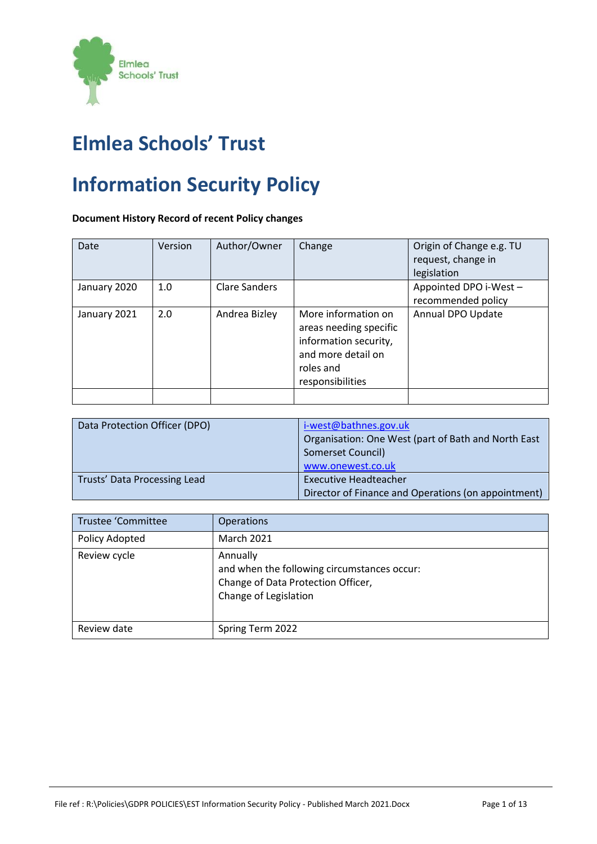

# **Elmlea Schools' Trust**

# **Information Security Policy**

# **Document History Record of recent Policy changes**

| Date         | Version | Author/Owner         | Change                                                                                                                        | Origin of Change e.g. TU<br>request, change in<br>legislation |
|--------------|---------|----------------------|-------------------------------------------------------------------------------------------------------------------------------|---------------------------------------------------------------|
| January 2020 | 1.0     | <b>Clare Sanders</b> |                                                                                                                               | Appointed DPO i-West -<br>recommended policy                  |
| January 2021 | 2.0     | Andrea Bizley        | More information on<br>areas needing specific<br>information security,<br>and more detail on<br>roles and<br>responsibilities | Annual DPO Update                                             |
|              |         |                      |                                                                                                                               |                                                               |

| Data Protection Officer (DPO) | i-west@bathnes.gov.uk<br>Organisation: One West (part of Bath and North East<br>Somerset Council)<br>www.onewest.co.uk |
|-------------------------------|------------------------------------------------------------------------------------------------------------------------|
| Trusts' Data Processing Lead  | <b>Executive Headteacher</b><br>Director of Finance and Operations (on appointment)                                    |

| <b>Trustee 'Committee</b> | <b>Operations</b>                                                                                                      |
|---------------------------|------------------------------------------------------------------------------------------------------------------------|
| Policy Adopted            | <b>March 2021</b>                                                                                                      |
| Review cycle              | Annually<br>and when the following circumstances occur:<br>Change of Data Protection Officer,<br>Change of Legislation |
| Review date               | Spring Term 2022                                                                                                       |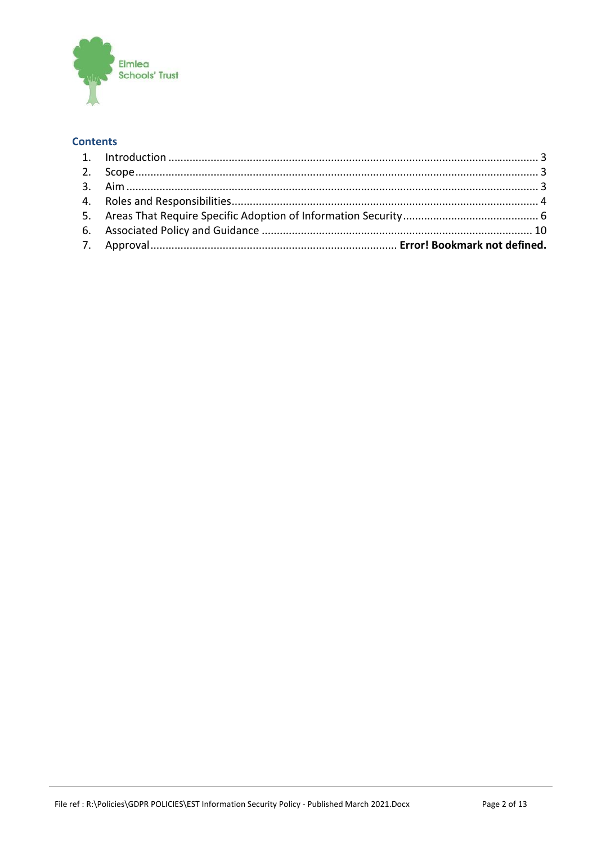

# **Contents**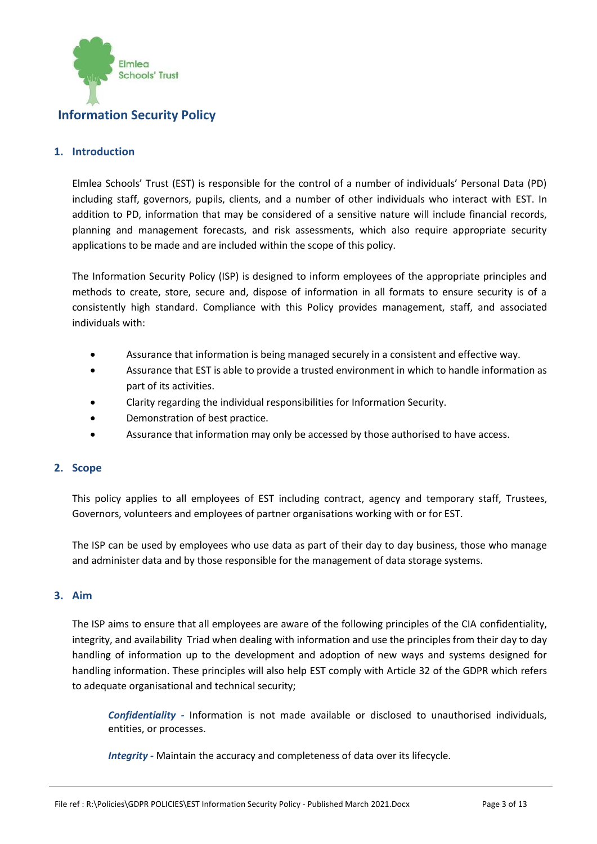

# **Information Security Policy**

### <span id="page-2-0"></span>**1. Introduction**

Elmlea Schools' Trust (EST) is responsible for the control of a number of individuals' Personal Data (PD) including staff, governors, pupils, clients, and a number of other individuals who interact with EST. In addition to PD, information that may be considered of a sensitive nature will include financial records, planning and management forecasts, and risk assessments, which also require appropriate security applications to be made and are included within the scope of this policy.

The Information Security Policy (ISP) is designed to inform employees of the appropriate principles and methods to create, store, secure and, dispose of information in all formats to ensure security is of a consistently high standard. Compliance with this Policy provides management, staff, and associated individuals with:

- Assurance that information is being managed securely in a consistent and effective way.
- Assurance that EST is able to provide a trusted environment in which to handle information as part of its activities.
- Clarity regarding the individual responsibilities for Information Security.
- Demonstration of best practice.
- Assurance that information may only be accessed by those authorised to have access.

### <span id="page-2-1"></span>**2. Scope**

This policy applies to all employees of EST including contract, agency and temporary staff, Trustees, Governors, volunteers and employees of partner organisations working with or for EST.

The ISP can be used by employees who use data as part of their day to day business, those who manage and administer data and by those responsible for the management of data storage systems.

#### <span id="page-2-2"></span>**3. Aim**

The ISP aims to ensure that all employees are aware of the following principles of the CIA confidentiality, integrity, and availability Triad when dealing with information and use the principles from their day to day handling of information up to the development and adoption of new ways and systems designed for handling information. These principles will also help EST comply with Article 32 of the GDPR which refers to adequate organisational and technical security;

*Confidentiality -* Information is not made available or disclosed to unauthorised individuals, entities, or processes.

*Integrity -* Maintain the accuracy and completeness of data over its lifecycle.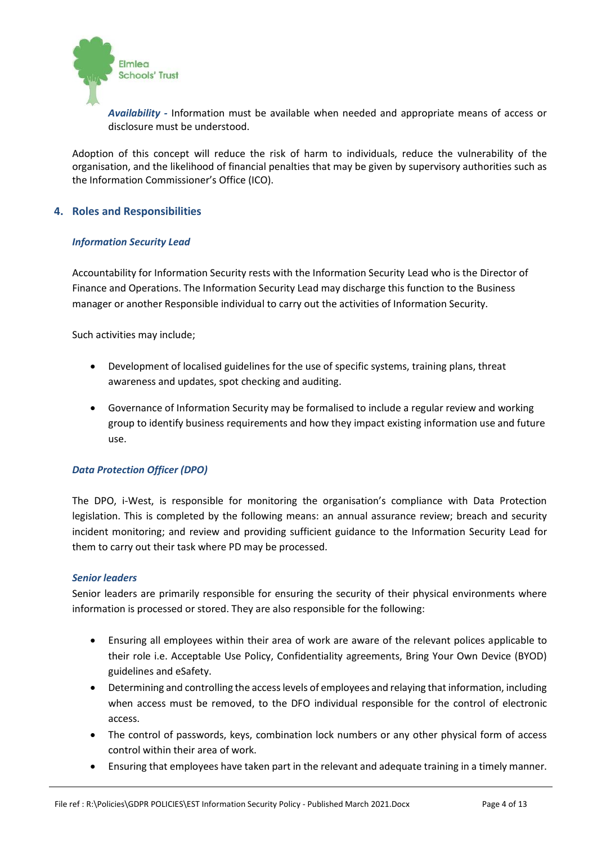

*Availability -* Information must be available when needed and appropriate means of access or disclosure must be understood.

Adoption of this concept will reduce the risk of harm to individuals, reduce the vulnerability of the organisation, and the likelihood of financial penalties that may be given by supervisory authorities such as the Information Commissioner's Office (ICO).

#### <span id="page-3-0"></span>**4. Roles and Responsibilities**

#### *Information Security Lead*

Accountability for Information Security rests with the Information Security Lead who is the Director of Finance and Operations. The Information Security Lead may discharge this function to the Business manager or another Responsible individual to carry out the activities of Information Security.

Such activities may include;

- Development of localised guidelines for the use of specific systems, training plans, threat awareness and updates, spot checking and auditing.
- Governance of Information Security may be formalised to include a regular review and working group to identify business requirements and how they impact existing information use and future use.

# *Data Protection Officer (DPO)*

The DPO, i-West, is responsible for monitoring the organisation's compliance with Data Protection legislation. This is completed by the following means: an annual assurance review; breach and security incident monitoring; and review and providing sufficient guidance to the Information Security Lead for them to carry out their task where PD may be processed.

#### *Senior leaders*

Senior leaders are primarily responsible for ensuring the security of their physical environments where information is processed or stored. They are also responsible for the following:

- Ensuring all employees within their area of work are aware of the relevant polices applicable to their role i.e. Acceptable Use Policy, Confidentiality agreements, Bring Your Own Device (BYOD) guidelines and eSafety.
- Determining and controlling the access levels of employees and relaying that information, including when access must be removed, to the DFO individual responsible for the control of electronic access.
- The control of passwords, keys, combination lock numbers or any other physical form of access control within their area of work.
- Ensuring that employees have taken part in the relevant and adequate training in a timely manner.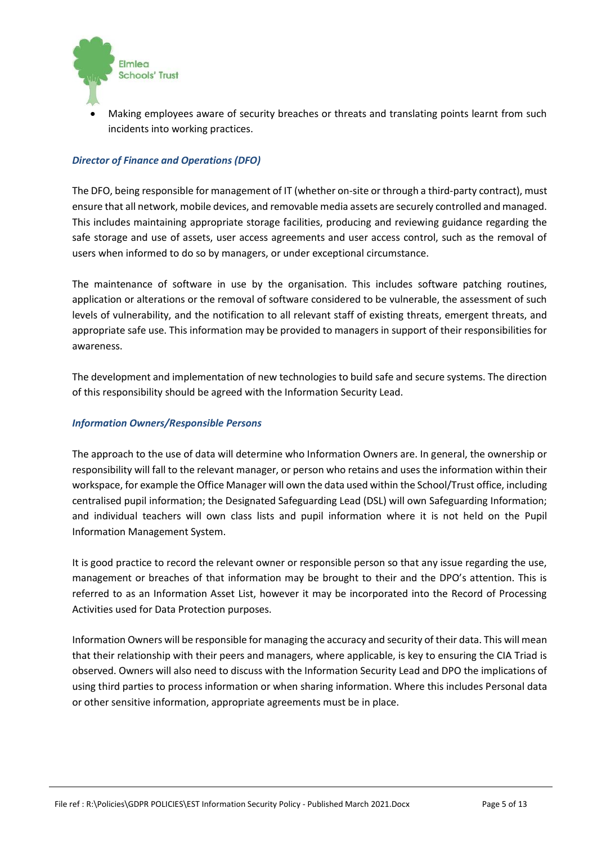

• Making employees aware of security breaches or threats and translating points learnt from such incidents into working practices.

# *Director of Finance and Operations (DFO)*

The DFO, being responsible for management of IT (whether on-site or through a third-party contract), must ensure that all network, mobile devices, and removable media assets are securely controlled and managed. This includes maintaining appropriate storage facilities, producing and reviewing guidance regarding the safe storage and use of assets, user access agreements and user access control, such as the removal of users when informed to do so by managers, or under exceptional circumstance.

The maintenance of software in use by the organisation. This includes software patching routines, application or alterations or the removal of software considered to be vulnerable, the assessment of such levels of vulnerability, and the notification to all relevant staff of existing threats, emergent threats, and appropriate safe use. This information may be provided to managers in support of their responsibilities for awareness.

The development and implementation of new technologies to build safe and secure systems. The direction of this responsibility should be agreed with the Information Security Lead.

#### *Information Owners/Responsible Persons*

The approach to the use of data will determine who Information Owners are. In general, the ownership or responsibility will fall to the relevant manager, or person who retains and uses the information within their workspace, for example the Office Manager will own the data used within the School/Trust office, including centralised pupil information; the Designated Safeguarding Lead (DSL) will own Safeguarding Information; and individual teachers will own class lists and pupil information where it is not held on the Pupil Information Management System.

It is good practice to record the relevant owner or responsible person so that any issue regarding the use, management or breaches of that information may be brought to their and the DPO's attention. This is referred to as an Information Asset List, however it may be incorporated into the Record of Processing Activities used for Data Protection purposes.

Information Owners will be responsible for managing the accuracy and security of their data. This will mean that their relationship with their peers and managers, where applicable, is key to ensuring the CIA Triad is observed. Owners will also need to discuss with the Information Security Lead and DPO the implications of using third parties to process information or when sharing information. Where this includes Personal data or other sensitive information, appropriate agreements must be in place.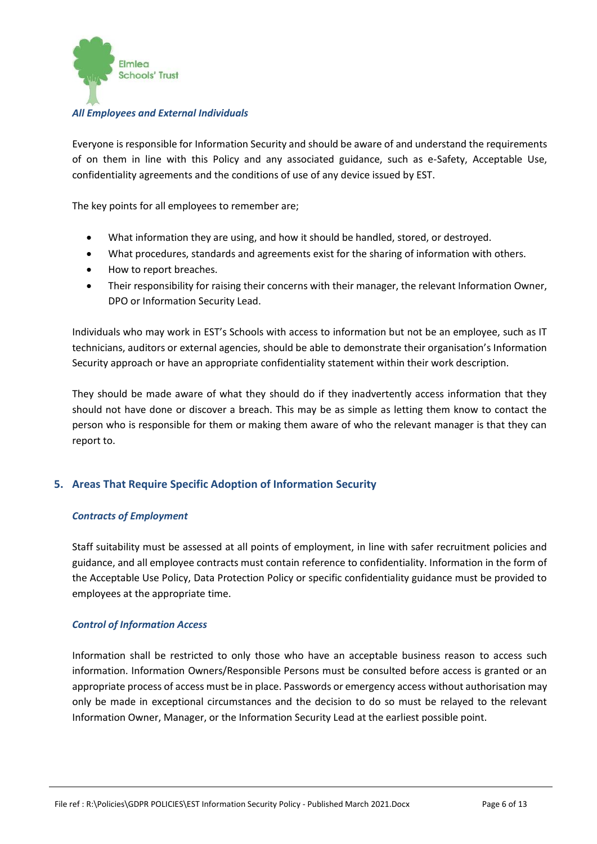

#### *All Employees and External Individuals*

Everyone is responsible for Information Security and should be aware of and understand the requirements of on them in line with this Policy and any associated guidance, such as e-Safety, Acceptable Use, confidentiality agreements and the conditions of use of any device issued by EST.

The key points for all employees to remember are;

- What information they are using, and how it should be handled, stored, or destroyed.
- What procedures, standards and agreements exist for the sharing of information with others.
- How to report breaches.
- Their responsibility for raising their concerns with their manager, the relevant Information Owner, DPO or Information Security Lead.

Individuals who may work in EST's Schools with access to information but not be an employee, such as IT technicians, auditors or external agencies, should be able to demonstrate their organisation's Information Security approach or have an appropriate confidentiality statement within their work description.

They should be made aware of what they should do if they inadvertently access information that they should not have done or discover a breach. This may be as simple as letting them know to contact the person who is responsible for them or making them aware of who the relevant manager is that they can report to.

# <span id="page-5-0"></span>**5. Areas That Require Specific Adoption of Information Security**

#### *Contracts of Employment*

Staff suitability must be assessed at all points of employment, in line with safer recruitment policies and guidance, and all employee contracts must contain reference to confidentiality. Information in the form of the Acceptable Use Policy, Data Protection Policy or specific confidentiality guidance must be provided to employees at the appropriate time.

#### *Control of Information Access*

Information shall be restricted to only those who have an acceptable business reason to access such information. Information Owners/Responsible Persons must be consulted before access is granted or an appropriate process of access must be in place. Passwords or emergency access without authorisation may only be made in exceptional circumstances and the decision to do so must be relayed to the relevant Information Owner, Manager, or the Information Security Lead at the earliest possible point.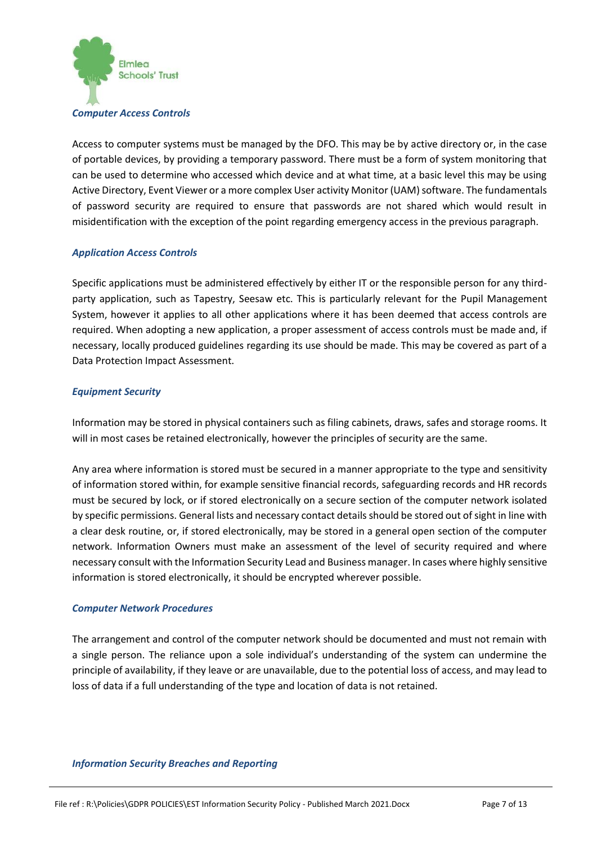

Access to computer systems must be managed by the DFO. This may be by active directory or, in the case of portable devices, by providing a temporary password. There must be a form of system monitoring that can be used to determine who accessed which device and at what time, at a basic level this may be using Active Directory, Event Viewer or a more complex User activity Monitor (UAM) software. The fundamentals of password security are required to ensure that passwords are not shared which would result in misidentification with the exception of the point regarding emergency access in the previous paragraph.

#### *Application Access Controls*

Specific applications must be administered effectively by either IT or the responsible person for any thirdparty application, such as Tapestry, Seesaw etc. This is particularly relevant for the Pupil Management System, however it applies to all other applications where it has been deemed that access controls are required. When adopting a new application, a proper assessment of access controls must be made and, if necessary, locally produced guidelines regarding its use should be made. This may be covered as part of a Data Protection Impact Assessment.

#### *Equipment Security*

Information may be stored in physical containers such as filing cabinets, draws, safes and storage rooms. It will in most cases be retained electronically, however the principles of security are the same.

Any area where information is stored must be secured in a manner appropriate to the type and sensitivity of information stored within, for example sensitive financial records, safeguarding records and HR records must be secured by lock, or if stored electronically on a secure section of the computer network isolated by specific permissions. General lists and necessary contact details should be stored out of sight in line with a clear desk routine, or, if stored electronically, may be stored in a general open section of the computer network. Information Owners must make an assessment of the level of security required and where necessary consult with the Information Security Lead and Business manager. In cases where highly sensitive information is stored electronically, it should be encrypted wherever possible.

#### *Computer Network Procedures*

The arrangement and control of the computer network should be documented and must not remain with a single person. The reliance upon a sole individual's understanding of the system can undermine the principle of availability, if they leave or are unavailable, due to the potential loss of access, and may lead to loss of data if a full understanding of the type and location of data is not retained.

#### *Information Security Breaches and Reporting*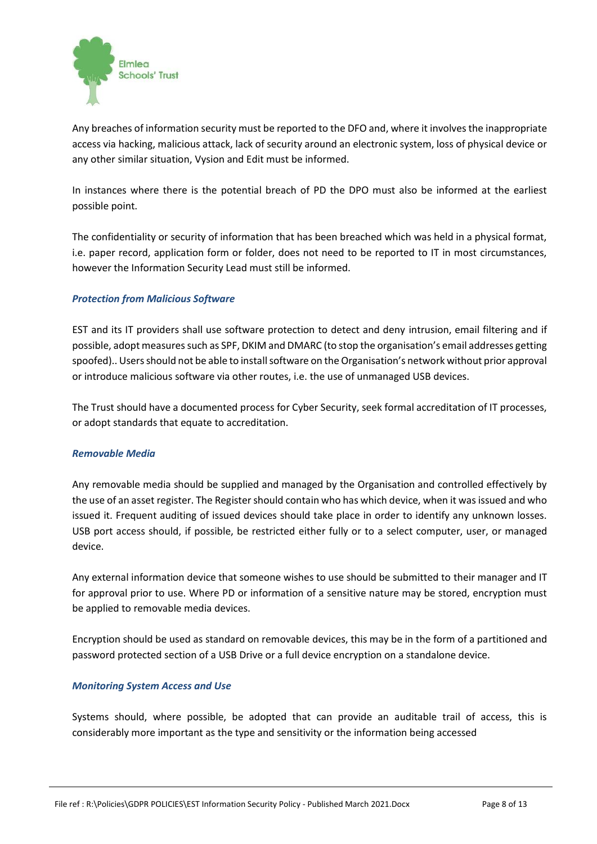

Any breaches of information security must be reported to the DFO and, where it involves the inappropriate access via hacking, malicious attack, lack of security around an electronic system, loss of physical device or any other similar situation, Vysion and Edit must be informed.

In instances where there is the potential breach of PD the DPO must also be informed at the earliest possible point.

The confidentiality or security of information that has been breached which was held in a physical format, i.e. paper record, application form or folder, does not need to be reported to IT in most circumstances, however the Information Security Lead must still be informed.

# *Protection from Malicious Software*

EST and its IT providers shall use software protection to detect and deny intrusion, email filtering and if possible, adopt measures such as SPF, DKIM and DMARC (to stop the organisation's email addresses getting spoofed).. Users should not be able to install software on the Organisation's network without prior approval or introduce malicious software via other routes, i.e. the use of unmanaged USB devices.

The Trust should have a documented process for Cyber Security, seek formal accreditation of IT processes, or adopt standards that equate to accreditation.

#### *Removable Media*

Any removable media should be supplied and managed by the Organisation and controlled effectively by the use of an asset register. The Register should contain who has which device, when it was issued and who issued it. Frequent auditing of issued devices should take place in order to identify any unknown losses. USB port access should, if possible, be restricted either fully or to a select computer, user, or managed device.

Any external information device that someone wishes to use should be submitted to their manager and IT for approval prior to use. Where PD or information of a sensitive nature may be stored, encryption must be applied to removable media devices.

Encryption should be used as standard on removable devices, this may be in the form of a partitioned and password protected section of a USB Drive or a full device encryption on a standalone device.

#### *Monitoring System Access and Use*

Systems should, where possible, be adopted that can provide an auditable trail of access, this is considerably more important as the type and sensitivity or the information being accessed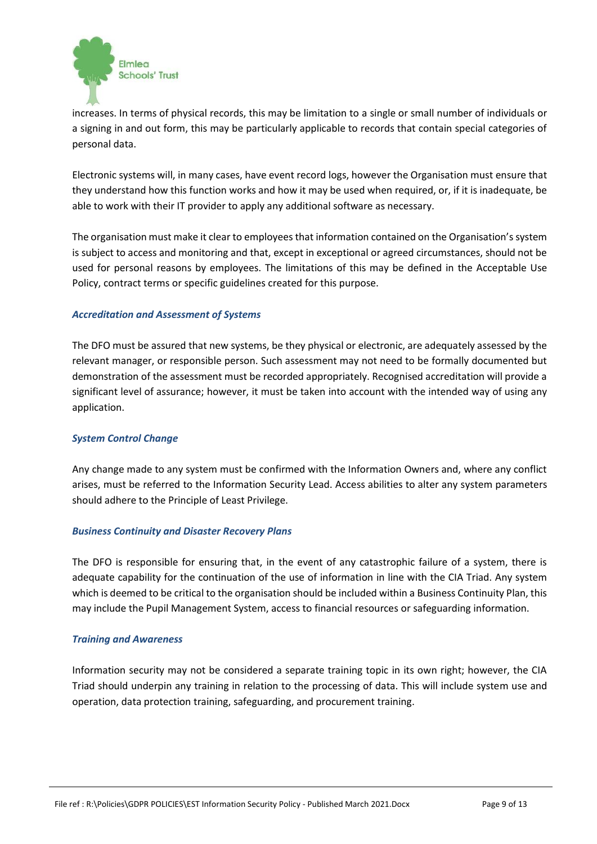

increases. In terms of physical records, this may be limitation to a single or small number of individuals or a signing in and out form, this may be particularly applicable to records that contain special categories of personal data.

Electronic systems will, in many cases, have event record logs, however the Organisation must ensure that they understand how this function works and how it may be used when required, or, if it is inadequate, be able to work with their IT provider to apply any additional software as necessary.

The organisation must make it clear to employees that information contained on the Organisation's system is subject to access and monitoring and that, except in exceptional or agreed circumstances, should not be used for personal reasons by employees. The limitations of this may be defined in the Acceptable Use Policy, contract terms or specific guidelines created for this purpose.

#### *Accreditation and Assessment of Systems*

The DFO must be assured that new systems, be they physical or electronic, are adequately assessed by the relevant manager, or responsible person. Such assessment may not need to be formally documented but demonstration of the assessment must be recorded appropriately. Recognised accreditation will provide a significant level of assurance; however, it must be taken into account with the intended way of using any application.

#### *System Control Change*

Any change made to any system must be confirmed with the Information Owners and, where any conflict arises, must be referred to the Information Security Lead. Access abilities to alter any system parameters should adhere to the Principle of Least Privilege.

#### *Business Continuity and Disaster Recovery Plans*

The DFO is responsible for ensuring that, in the event of any catastrophic failure of a system, there is adequate capability for the continuation of the use of information in line with the CIA Triad. Any system which is deemed to be critical to the organisation should be included within a Business Continuity Plan, this may include the Pupil Management System, access to financial resources or safeguarding information.

#### *Training and Awareness*

Information security may not be considered a separate training topic in its own right; however, the CIA Triad should underpin any training in relation to the processing of data. This will include system use and operation, data protection training, safeguarding, and procurement training.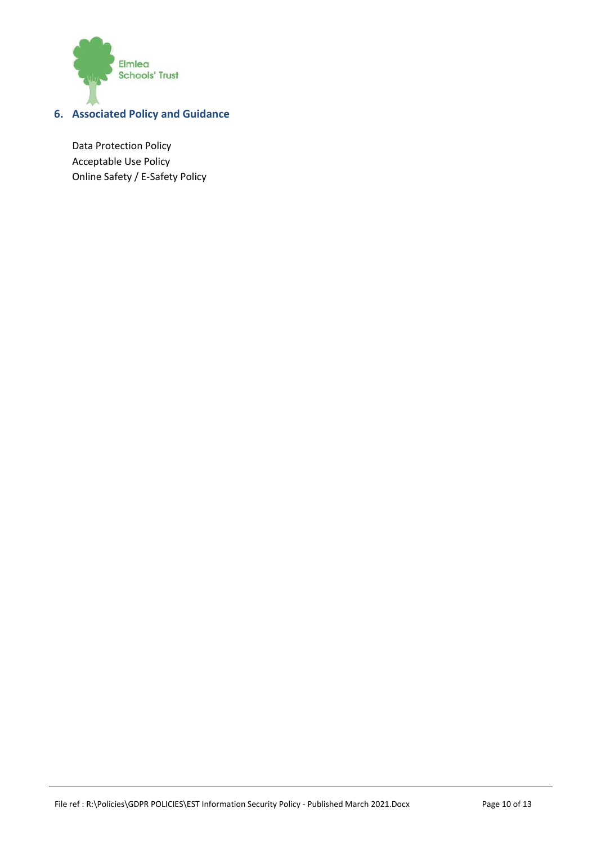

# <span id="page-9-0"></span>**6. Associated Policy and Guidance**

Data Protection Policy Acceptable Use Policy Online Safety / E-Safety Policy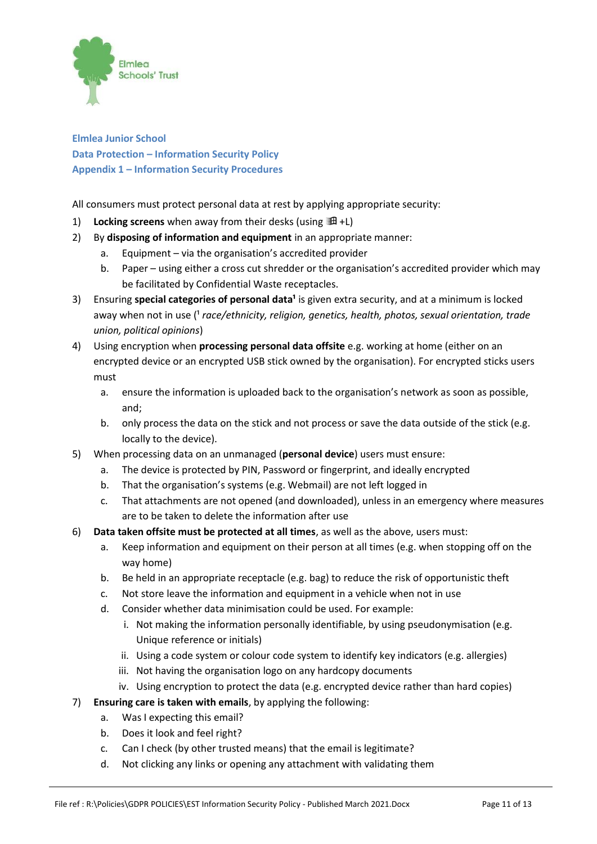

**Elmlea Junior School Data Protection – Information Security Policy Appendix 1 – Information Security Procedures**

All consumers must protect personal data at rest by applying appropriate security:

- 1) Locking screens when away from their desks (using  $\mathbb{H}$  +L)
- 2) By **disposing of information and equipment** in an appropriate manner:
	- a. Equipment via the organisation's accredited provider
	- b. Paper using either a cross cut shredder or the organisation's accredited provider which may be facilitated by Confidential Waste receptacles.
- 3) Ensuring **special categories of personal data<sup>1</sup> is given extra security, and at a minimum is locked** away when not in use (<sup>1</sup> race/ethnicity, religion, genetics, health, photos, sexual orientation, trade *union, political opinions*)
- 4) Using encryption when **processing personal data offsite** e.g. working at home (either on an encrypted device or an encrypted USB stick owned by the organisation). For encrypted sticks users must
	- a. ensure the information is uploaded back to the organisation's network as soon as possible, and;
	- b. only process the data on the stick and not process or save the data outside of the stick (e.g. locally to the device).
- 5) When processing data on an unmanaged (**personal device**) users must ensure:
	- a. The device is protected by PIN, Password or fingerprint, and ideally encrypted
	- b. That the organisation's systems (e.g. Webmail) are not left logged in
	- c. That attachments are not opened (and downloaded), unless in an emergency where measures are to be taken to delete the information after use
- 6) **Data taken offsite must be protected at all times**, as well as the above, users must:
	- a. Keep information and equipment on their person at all times (e.g. when stopping off on the way home)
	- b. Be held in an appropriate receptacle (e.g. bag) to reduce the risk of opportunistic theft
	- c. Not store leave the information and equipment in a vehicle when not in use
	- d. Consider whether data minimisation could be used. For example:
		- i. Not making the information personally identifiable, by using pseudonymisation (e.g. Unique reference or initials)
		- ii. Using a code system or colour code system to identify key indicators (e.g. allergies)
		- iii. Not having the organisation logo on any hardcopy documents
		- iv. Using encryption to protect the data (e.g. encrypted device rather than hard copies)
- 7) **Ensuring care is taken with emails**, by applying the following:
	- a. Was I expecting this email?
	- b. Does it look and feel right?
	- c. Can I check (by other trusted means) that the email is legitimate?
	- d. Not clicking any links or opening any attachment with validating them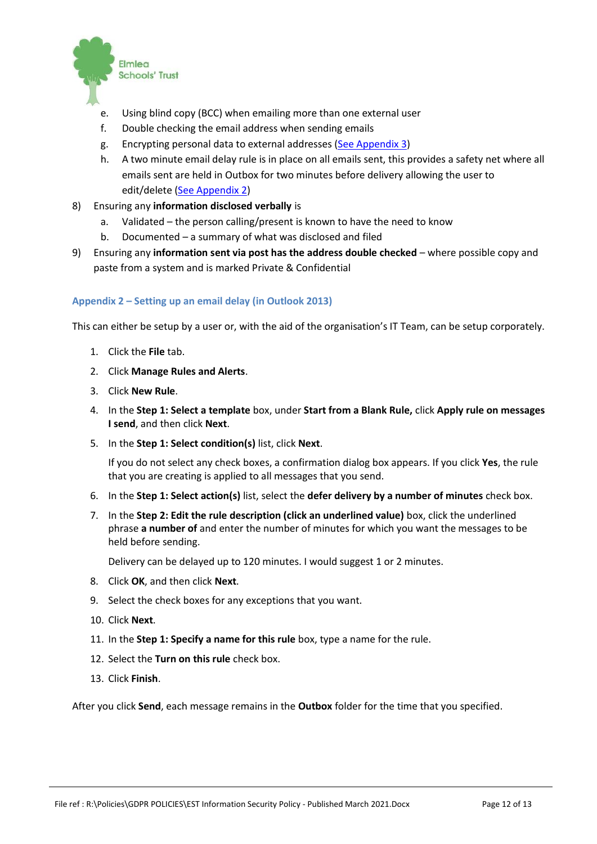

- e. Using blind copy (BCC) when emailing more than one external user
- f. Double checking the email address when sending emails
- g. Encrypting personal data to external addresses [\(See Appendix 3\)](#page-12-0)
- h. A two minute email delay rule is in place on all emails sent, this provides a safety net where all emails sent are held in Outbox for two minutes before delivery allowing the user to edit/delete [\(See Appendix 2\)](#page-11-0)
- 8) Ensuring any **information disclosed verbally** is
	- a. Validated the person calling/present is known to have the need to know
	- b. Documented a summary of what was disclosed and filed
- 9) Ensuring any **information sent via post has the address double checked** where possible copy and paste from a system and is marked Private & Confidential

#### <span id="page-11-0"></span>**Appendix 2 – Setting up an email delay (in Outlook 2013)**

This can either be setup by a user or, with the aid of the organisation's IT Team, can be setup corporately.

- 1. Click the **File** tab.
- 2. Click **Manage Rules and Alerts**.
- 3. Click **New Rule**.
- 4. In the **Step 1: Select a template** box, under **Start from a Blank Rule,** click **Apply rule on messages I send**, and then click **Next**.
- 5. In the **Step 1: Select condition(s)** list, click **Next**.

If you do not select any check boxes, a confirmation dialog box appears. If you click **Yes**, the rule that you are creating is applied to all messages that you send.

- 6. In the **Step 1: Select action(s)** list, select the **defer delivery by a number of minutes** check box.
- 7. In the **Step 2: Edit the rule description (click an underlined value)** box, click the underlined phrase **a number of** and enter the number of minutes for which you want the messages to be held before sending.

Delivery can be delayed up to 120 minutes. I would suggest 1 or 2 minutes.

- 8. Click **OK**, and then click **Next**.
- 9. Select the check boxes for any exceptions that you want.
- 10. Click **Next**.
- 11. In the **Step 1: Specify a name for this rule** box, type a name for the rule.
- 12. Select the **Turn on this rule** check box.
- 13. Click **Finish**.

After you click **Send**, each message remains in the **Outbox** folder for the time that you specified.